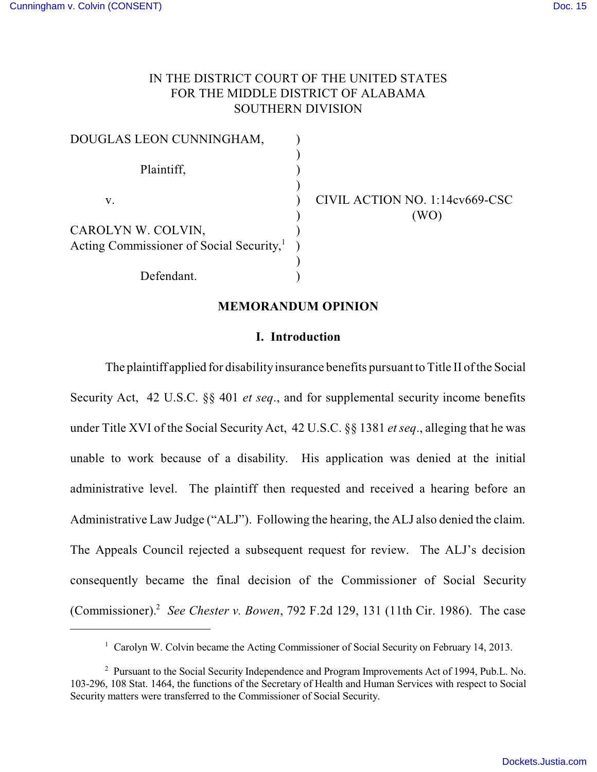# IN THE DISTRICT COURT OF THE UNITED STATES FOR THE MIDDLE DISTRICT OF ALABAMA SOUTHERN DIVISION

| DOUGLAS LEON CUNNINGHAM,                             |  |
|------------------------------------------------------|--|
|                                                      |  |
| Plaintiff,                                           |  |
|                                                      |  |
| V.                                                   |  |
|                                                      |  |
| CAROLYN W. COLVIN,                                   |  |
| Acting Commissioner of Social Security, <sup>1</sup> |  |
|                                                      |  |
| Defendant.                                           |  |

CIVIL ACTION NO. 1:14cv669-CSC  $(WO)$ 

#### **MEMORANDUM OPINION**

#### **I. Introduction**

The plaintiff applied for disability insurance benefits pursuant to Title II of the Social Security Act, 42 U.S.C. §§ 401 *et seq*., and for supplemental security income benefits under Title XVI of the Social Security Act, 42 U.S.C. §§ 1381 *etseq*., alleging that he was unable to work because of a disability. His application was denied at the initial administrative level. The plaintiff then requested and received a hearing before an Administrative Law Judge ("ALJ"). Following the hearing, the ALJ also denied the claim. The Appeals Council rejected a subsequent request for review. The ALJ's decision consequently became the final decision of the Commissioner of Social Security (Commissioner).<sup>2</sup> See Chester *v. Bowen*, 792 F.2d 129, 131 (11th Cir. 1986). The case

<sup>&</sup>lt;sup>1</sup> Carolyn W. Colvin became the Acting Commissioner of Social Security on February 14, 2013.

<sup>&</sup>lt;sup>2</sup> Pursuant to the Social Security Independence and Program Improvements Act of 1994, Pub.L. No. 103-296, 108 Stat. 1464, the functions of the Secretary of Health and Human Services with respect to Social Security matters were transferred to the Commissioner of Social Security.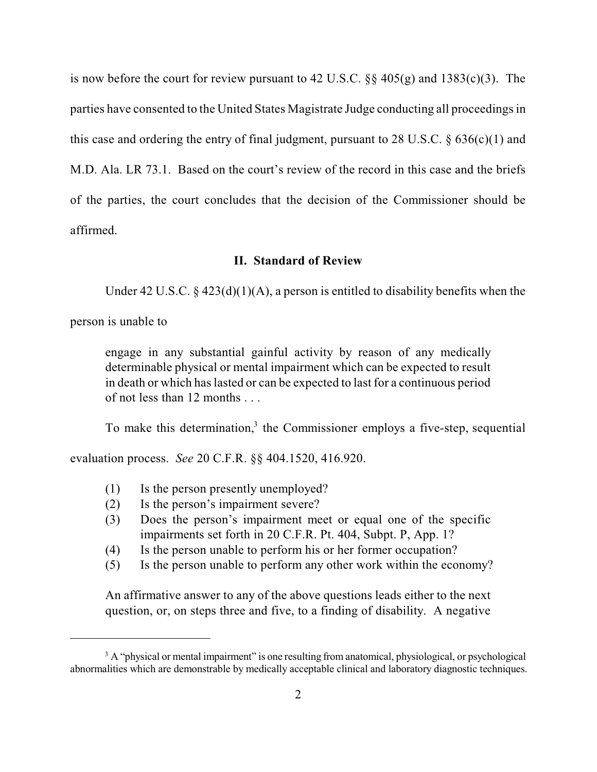is now before the court for review pursuant to 42 U.S.C.  $\S$  405(g) and 1383(c)(3). The parties have consented to the United States Magistrate Judge conducting all proceedings in this case and ordering the entry of final judgment, pursuant to 28 U.S.C.  $\S$  636(c)(1) and M.D. Ala. LR 73.1. Based on the court's review of the record in this case and the briefs of the parties, the court concludes that the decision of the Commissioner should be affirmed.

### **II. Standard of Review**

Under 42 U.S.C. § 423(d)(1)(A), a person is entitled to disability benefits when the

person is unable to

engage in any substantial gainful activity by reason of any medically determinable physical or mental impairment which can be expected to result in death or which haslasted or can be expected to last for a continuous period of not less than 12 months . . .

To make this determination, $3$  the Commissioner employs a five-step, sequential

evaluation process. *See* 20 C.F.R. §§ 404.1520, 416.920.

- (1) Is the person presently unemployed?
- (2) Is the person's impairment severe?
- (3) Does the person's impairment meet or equal one of the specific impairments set forth in 20 C.F.R. Pt. 404, Subpt. P, App. 1?
- (4) Is the person unable to perform his or her former occupation?
- (5) Is the person unable to perform any other work within the economy?

An affirmative answer to any of the above questions leads either to the next question, or, on steps three and five, to a finding of disability. A negative

<sup>&</sup>lt;sup>3</sup> A "physical or mental impairment" is one resulting from anatomical, physiological, or psychological abnormalities which are demonstrable by medically acceptable clinical and laboratory diagnostic techniques.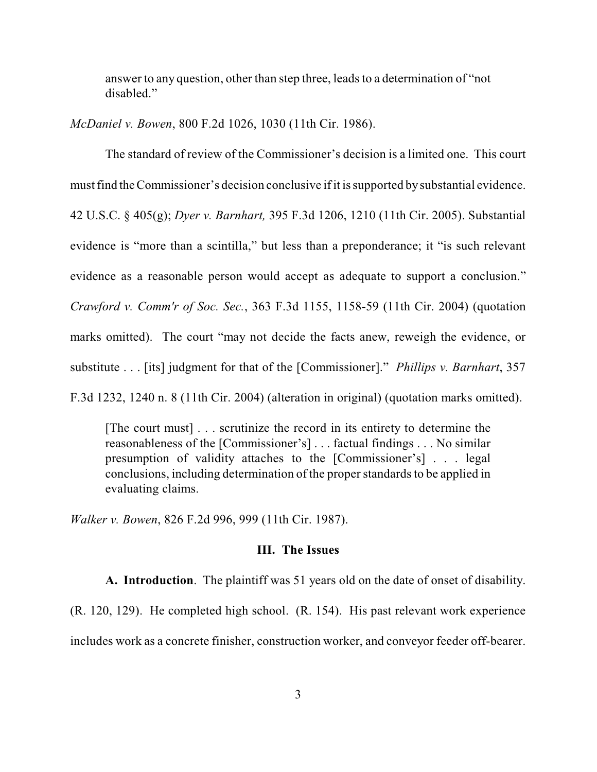answer to any question, other than step three, leads to a determination of "not" disabled."

*McDaniel v. Bowen*, 800 F.2d 1026, 1030 (11th Cir. 1986).

The standard of review of the Commissioner's decision is a limited one. This court must find the Commissioner's decision conclusive if it is supported by substantial evidence. 42 U.S.C. § 405(g); *Dyer v. Barnhart,* 395 F.3d 1206, 1210 (11th Cir. 2005). Substantial evidence is "more than a scintilla," but less than a preponderance; it "is such relevant evidence as a reasonable person would accept as adequate to support a conclusion." *Crawford v. Comm'r of Soc. Sec.*, 363 F.3d 1155, 1158-59 (11th Cir. 2004) (quotation marks omitted). The court "may not decide the facts anew, reweigh the evidence, or substitute . . . [its] judgment for that of the [Commissioner]." *Phillips v. Barnhart*, 357 F.3d 1232, 1240 n. 8 (11th Cir. 2004) (alteration in original) (quotation marks omitted).

[The court must] . . . scrutinize the record in its entirety to determine the reasonableness of the [Commissioner's] . . . factual findings . . . No similar presumption of validity attaches to the [Commissioner's] . . . legal conclusions, including determination of the proper standards to be applied in evaluating claims.

*Walker v. Bowen*, 826 F.2d 996, 999 (11th Cir. 1987).

## **III. The Issues**

**A. Introduction**. The plaintiff was 51 years old on the date of onset of disability.

(R. 120, 129). He completed high school. (R. 154). His past relevant work experience includes work as a concrete finisher, construction worker, and conveyor feeder off-bearer.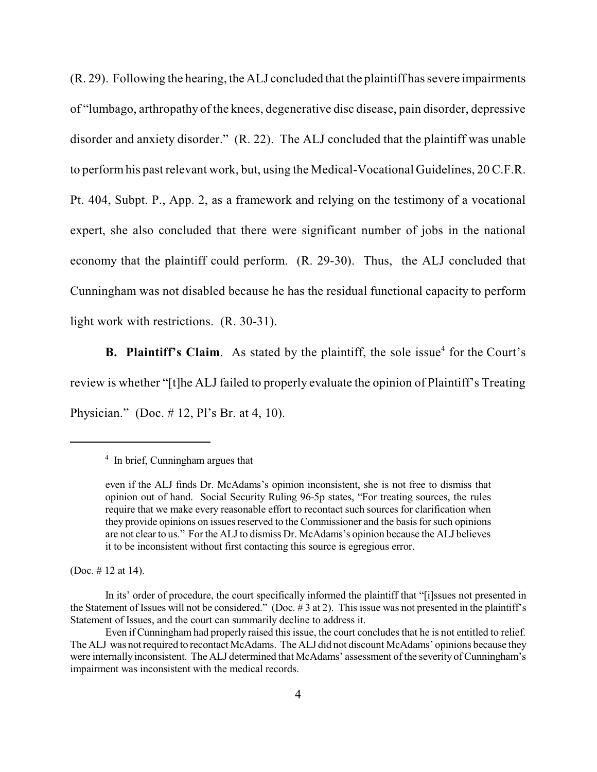(R. 29). Following the hearing, the ALJ concluded that the plaintiff hassevere impairments of "lumbago, arthropathy of the knees, degenerative disc disease, pain disorder, depressive disorder and anxiety disorder." (R. 22). The ALJ concluded that the plaintiff was unable to performhis past relevant work, but, using the Medical-Vocational Guidelines, 20C.F.R. Pt. 404, Subpt. P., App. 2, as a framework and relying on the testimony of a vocational expert, she also concluded that there were significant number of jobs in the national economy that the plaintiff could perform. (R. 29-30). Thus, the ALJ concluded that Cunningham was not disabled because he has the residual functional capacity to perform light work with restrictions. (R. 30-31).

**B.** Plaintiff's Claim. As stated by the plaintiff, the sole issue<sup>4</sup> for the Court's review is whether "[t]he ALJ failed to properly evaluate the opinion of Plaintiff's Treating Physician." (Doc. # 12, Pl's Br. at 4, 10).

(Doc. # 12 at 14).

 $\frac{4}{1}$  In brief, Cunningham argues that

even if the ALJ finds Dr. McAdams's opinion inconsistent, she is not free to dismiss that opinion out of hand. Social Security Ruling 96-5p states, "For treating sources, the rules require that we make every reasonable effort to recontact such sources for clarification when they provide opinions on issues reserved to the Commissioner and the basis for such opinions are not clear to us." Forthe ALJ to dismiss Dr. McAdams's opinion because the ALJ believes it to be inconsistent without first contacting this source is egregious error.

In its' order of procedure, the court specifically informed the plaintiff that "[i]ssues not presented in the Statement of Issues will not be considered." (Doc. # 3 at 2). This issue was not presented in the plaintiff's Statement of Issues, and the court can summarily decline to address it.

Even if Cunningham had properly raised this issue, the court concludes that he is not entitled to relief. The ALJ was not required to recontact McAdams. The ALJ did not discount McAdams' opinions because they were internally inconsistent. The ALJ determined that McAdams' assessment of the severity of Cunningham's impairment was inconsistent with the medical records.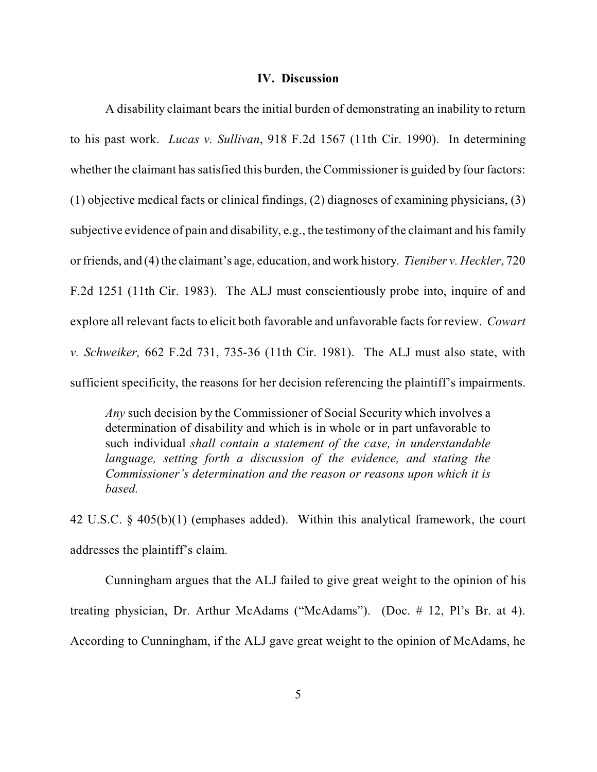#### **IV. Discussion**

A disability claimant bears the initial burden of demonstrating an inability to return to his past work. *Lucas v. Sullivan*, 918 F.2d 1567 (11th Cir. 1990). In determining whether the claimant has satisfied this burden, the Commissioner is guided by four factors: (1) objective medical facts or clinical findings, (2) diagnoses of examining physicians, (3) subjective evidence of pain and disability, e.g., the testimony of the claimant and his family or friends, and (4) the claimant's age, education, and work history. *Tieniber v. Heckler*, 720 F.2d 1251 (11th Cir. 1983). The ALJ must conscientiously probe into, inquire of and explore all relevant facts to elicit both favorable and unfavorable facts for review. *Cowart v. Schweiker,* 662 F.2d 731, 735-36 (11th Cir. 1981). The ALJ must also state, with sufficient specificity, the reasons for her decision referencing the plaintiff's impairments.

*Any* such decision by the Commissioner of Social Security which involves a determination of disability and which is in whole or in part unfavorable to such individual *shall contain a statement of the case, in understandable language, setting forth a discussion of the evidence, and stating the Commissioner's determination and the reason or reasons upon which it is based.*

42 U.S.C. § 405(b)(1) (emphases added). Within this analytical framework, the court addresses the plaintiff's claim.

Cunningham argues that the ALJ failed to give great weight to the opinion of his treating physician, Dr. Arthur McAdams ("McAdams"). (Doc. # 12, Pl's Br. at 4). According to Cunningham, if the ALJ gave great weight to the opinion of McAdams, he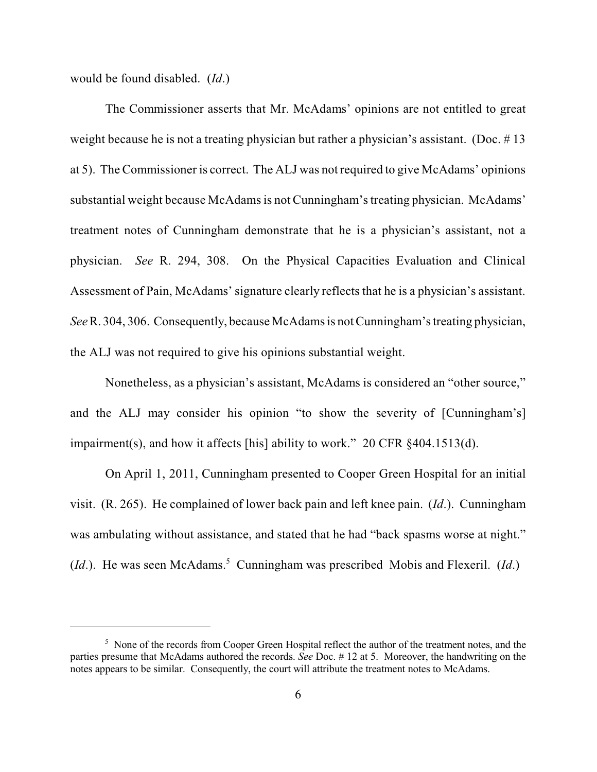would be found disabled. (*Id*.)

The Commissioner asserts that Mr. McAdams' opinions are not entitled to great weight because he is not a treating physician but rather a physician's assistant. (Doc. #13) at 5). The Commissioner is correct. The ALJ was not required to give McAdams' opinions substantial weight because McAdamsis not Cunningham'streating physician. McAdams' treatment notes of Cunningham demonstrate that he is a physician's assistant, not a physician. *See* R. 294, 308. On the Physical Capacities Evaluation and Clinical Assessment of Pain, McAdams' signature clearly reflects that he is a physician's assistant. *See* R. 304, 306. Consequently, because McAdamsis notCunningham'streating physician, the ALJ was not required to give his opinions substantial weight.

Nonetheless, as a physician's assistant, McAdams is considered an "other source," and the ALJ may consider his opinion "to show the severity of [Cunningham's] impairment(s), and how it affects [his] ability to work." 20 CFR §404.1513(d).

On April 1, 2011, Cunningham presented to Cooper Green Hospital for an initial visit. (R. 265). He complained of lower back pain and left knee pain. (*Id*.). Cunningham was ambulating without assistance, and stated that he had "back spasms worse at night."  $(Id.)$ . He was seen McAdams.<sup>5</sup> Cunningham was prescribed Mobis and Flexeril.  $(Id.)$ 

<sup>&</sup>lt;sup>5</sup> None of the records from Cooper Green Hospital reflect the author of the treatment notes, and the parties presume that McAdams authored the records. *See* Doc. # 12 at 5. Moreover, the handwriting on the notes appears to be similar. Consequently, the court will attribute the treatment notes to McAdams.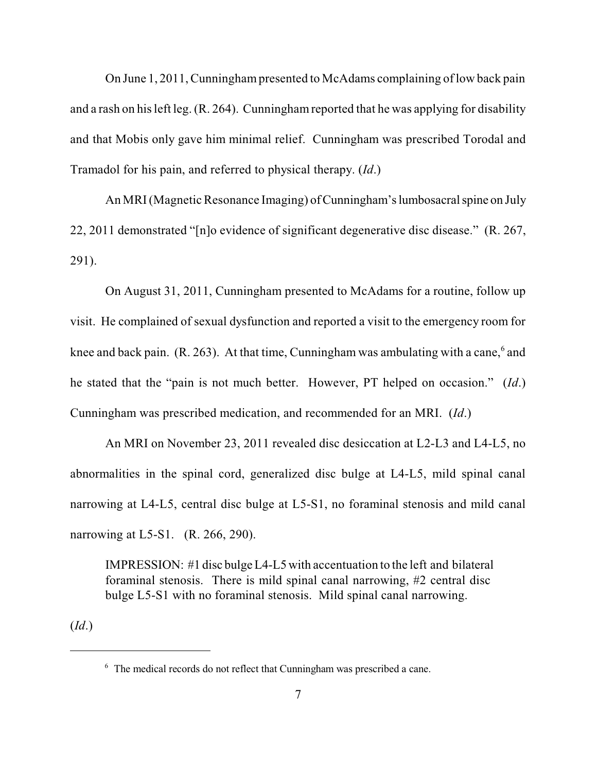On June 1, 2011, Cunningham presented to McAdams complaining of low back pain and a rash on hisleft leg. (R. 264). Cunninghamreported that he was applying for disability and that Mobis only gave him minimal relief. Cunningham was prescribed Torodal and Tramadol for his pain, and referred to physical therapy. (*Id*.)

An MRI (Magnetic Resonance Imaging) of Cunningham's lumbosacral spine on July 22, 2011 demonstrated "[n]o evidence of significant degenerative disc disease." (R. 267, 291).

On August 31, 2011, Cunningham presented to McAdams for a routine, follow up visit. He complained of sexual dysfunction and reported a visit to the emergency room for knee and back pain. (R. 263). At that time, Cunningham was ambulating with a cane,  $6$  and he stated that the "pain is not much better. However, PT helped on occasion." (*Id*.) Cunningham was prescribed medication, and recommended for an MRI. (*Id*.)

An MRI on November 23, 2011 revealed disc desiccation at L2-L3 and L4-L5, no abnormalities in the spinal cord, generalized disc bulge at L4-L5, mild spinal canal narrowing at L4-L5, central disc bulge at L5-S1, no foraminal stenosis and mild canal narrowing at L5-S1. (R. 266, 290).

IMPRESSION: #1 disc bulge L4-L5 with accentuation to the left and bilateral foraminal stenosis. There is mild spinal canal narrowing, #2 central disc bulge L5-S1 with no foraminal stenosis. Mild spinal canal narrowing.

(*Id*.)

 $6\text{ }$  The medical records do not reflect that Cunningham was prescribed a cane.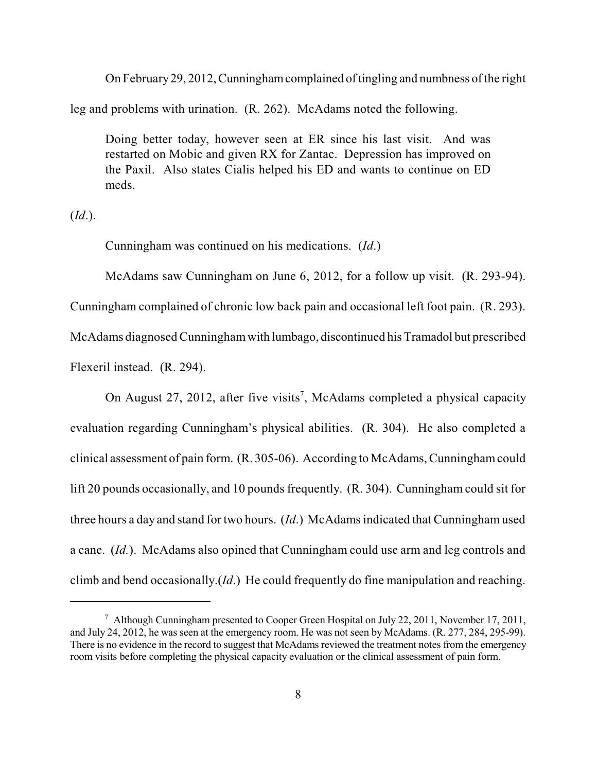On February29, 2012, Cunninghamcomplained of tingling and numbness of the right leg and problems with urination. (R. 262). McAdams noted the following.

Doing better today, however seen at ER since his last visit. And was restarted on Mobic and given RX for Zantac. Depression has improved on the Paxil. Also states Cialis helped his ED and wants to continue on ED meds.

(*Id*.).

Cunningham was continued on his medications. (*Id*.)

McAdams saw Cunningham on June 6, 2012, for a follow up visit. (R. 293-94).

Cunningham complained of chronic low back pain and occasional left foot pain. (R. 293).

McAdams diagnosedCunninghamwith lumbago, discontinued his Tramadol but prescribed

Flexeril instead. (R. 294).

On August 27, 2012, after five visits<sup>7</sup>, McAdams completed a physical capacity evaluation regarding Cunningham's physical abilities. (R. 304). He also completed a clinical assessment of pain form. (R. 305-06). According to McAdams,Cunninghamcould lift 20 pounds occasionally, and 10 pounds frequently. (R. 304). Cunningham could sit for three hours a day and stand fortwo hours. (*Id*.) McAdamsindicated that Cunningham used a cane. (*Id.*). McAdams also opined that Cunningham could use arm and leg controls and climb and bend occasionally.(*Id*.) He could frequently do fine manipulation and reaching.

 $^7$  Although Cunningham presented to Cooper Green Hospital on July 22, 2011, November 17, 2011, and July 24, 2012, he was seen at the emergency room. He was not seen by McAdams. (R. 277, 284, 295-99). There is no evidence in the record to suggest that McAdams reviewed the treatment notes from the emergency room visits before completing the physical capacity evaluation or the clinical assessment of pain form.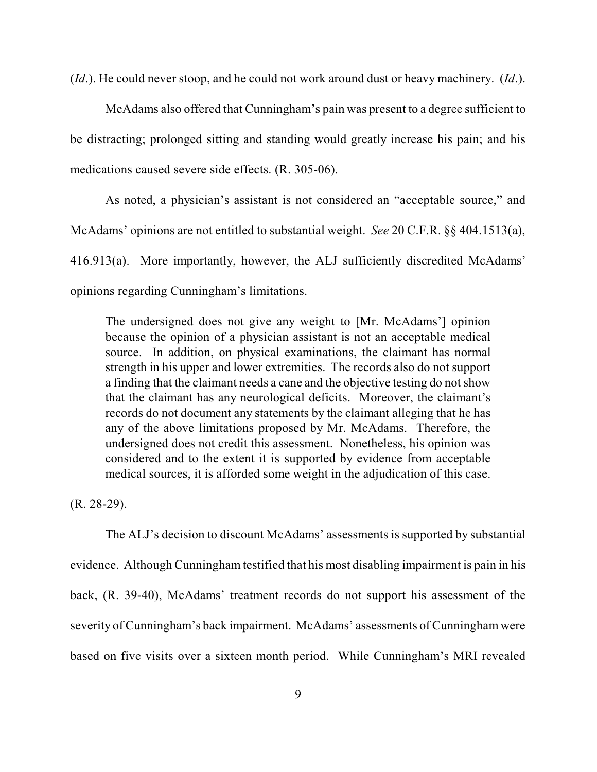(*Id*.). He could never stoop, and he could not work around dust or heavy machinery. (*Id*.).

McAdams also offered that Cunningham's pain was present to a degree sufficient to be distracting; prolonged sitting and standing would greatly increase his pain; and his medications caused severe side effects. (R. 305-06).

As noted, a physician's assistant is not considered an "acceptable source," and McAdams' opinions are not entitled to substantial weight. *See* 20 C.F.R. §§ 404.1513(a), 416.913(a). More importantly, however, the ALJ sufficiently discredited McAdams' opinions regarding Cunningham's limitations.

The undersigned does not give any weight to [Mr. McAdams'] opinion because the opinion of a physician assistant is not an acceptable medical source. In addition, on physical examinations, the claimant has normal strength in his upper and lower extremities. The records also do not support a finding that the claimant needs a cane and the objective testing do notshow that the claimant has any neurological deficits. Moreover, the claimant's records do not document any statements by the claimant alleging that he has any of the above limitations proposed by Mr. McAdams. Therefore, the undersigned does not credit this assessment. Nonetheless, his opinion was considered and to the extent it is supported by evidence from acceptable medical sources, it is afforded some weight in the adjudication of this case.

(R. 28-29).

The ALJ's decision to discount McAdams' assessments is supported by substantial evidence. Although Cunningham testified that his most disabling impairment is pain in his back, (R. 39-40), McAdams' treatment records do not support his assessment of the severity of Cunningham's back impairment. McAdams' assessments of Cunningham were based on five visits over a sixteen month period. While Cunningham's MRI revealed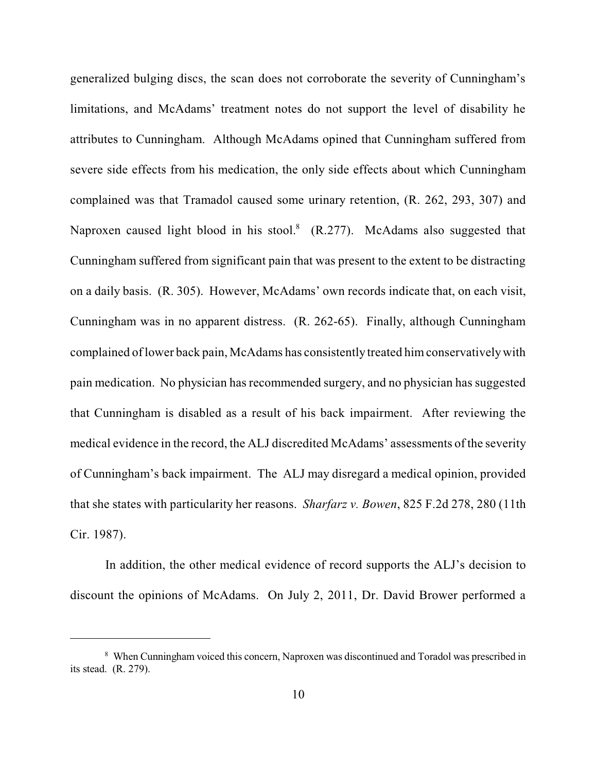generalized bulging discs, the scan does not corroborate the severity of Cunningham's limitations, and McAdams' treatment notes do not support the level of disability he attributes to Cunningham. Although McAdams opined that Cunningham suffered from severe side effects from his medication, the only side effects about which Cunningham complained was that Tramadol caused some urinary retention, (R. 262, 293, 307) and Naproxen caused light blood in his stool. $^8$  (R.277). McAdams also suggested that Cunningham suffered from significant pain that was present to the extent to be distracting on a daily basis. (R. 305). However, McAdams' own records indicate that, on each visit, Cunningham was in no apparent distress. (R. 262-65). Finally, although Cunningham complained oflower back pain, McAdams has consistently treated himconservativelywith pain medication. No physician hasrecommended surgery, and no physician has suggested that Cunningham is disabled as a result of his back impairment. After reviewing the medical evidence in the record, the ALJ discredited McAdams' assessments of the severity of Cunningham's back impairment. The ALJ may disregard a medical opinion, provided that she states with particularity her reasons. *Sharfarz v. Bowen*, 825 F.2d 278, 280 (11th Cir. 1987).

In addition, the other medical evidence of record supports the ALJ's decision to discount the opinions of McAdams. On July 2, 2011, Dr. David Brower performed a

When Cunningham voiced this concern, Naproxen was discontinued and Toradol was prescribed in <sup>8</sup> its stead. (R. 279).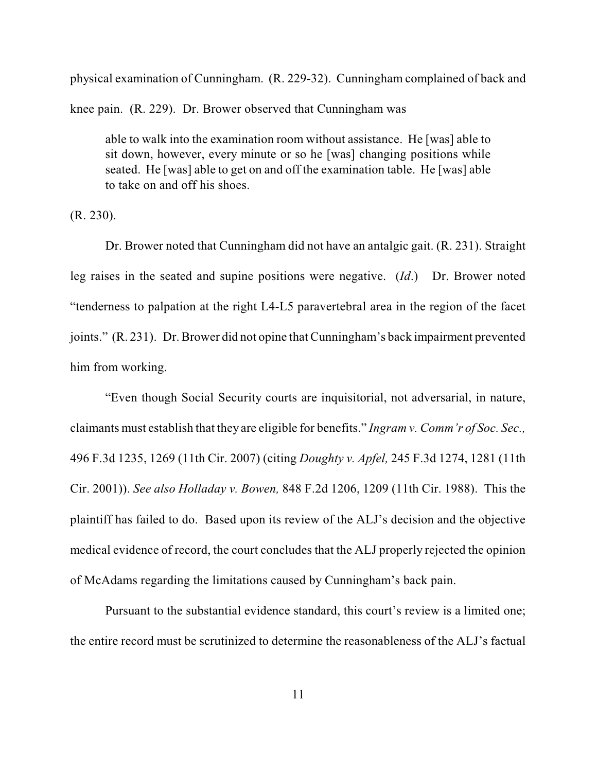physical examination of Cunningham. (R. 229-32). Cunningham complained of back and knee pain. (R. 229). Dr. Brower observed that Cunningham was

able to walk into the examination room without assistance. He [was] able to sit down, however, every minute or so he [was] changing positions while seated. He [was] able to get on and off the examination table. He [was] able to take on and off his shoes.

(R. 230).

Dr. Brower noted that Cunningham did not have an antalgic gait. (R. 231). Straight leg raises in the seated and supine positions were negative. (*Id*.) Dr. Brower noted "tenderness to palpation at the right L4-L5 paravertebral area in the region of the facet joints." (R. 231). Dr. Brower did not opine that Cunningham's back impairment prevented him from working.

"Even though Social Security courts are inquisitorial, not adversarial, in nature, claimants must establish that they are eligible for benefits." *Ingram v. Comm'r of Soc. Sec.,* 496 F.3d 1235, 1269 (11th Cir. 2007) (citing *Doughty v. Apfel,* 245 F.3d 1274, 1281 (11th Cir. 2001)). *See also Holladay v. Bowen,* 848 F.2d 1206, 1209 (11th Cir. 1988). This the plaintiff has failed to do. Based upon its review of the ALJ's decision and the objective medical evidence of record, the court concludes that the ALJ properly rejected the opinion of McAdams regarding the limitations caused by Cunningham's back pain.

Pursuant to the substantial evidence standard, this court's review is a limited one; the entire record must be scrutinized to determine the reasonableness of the ALJ's factual